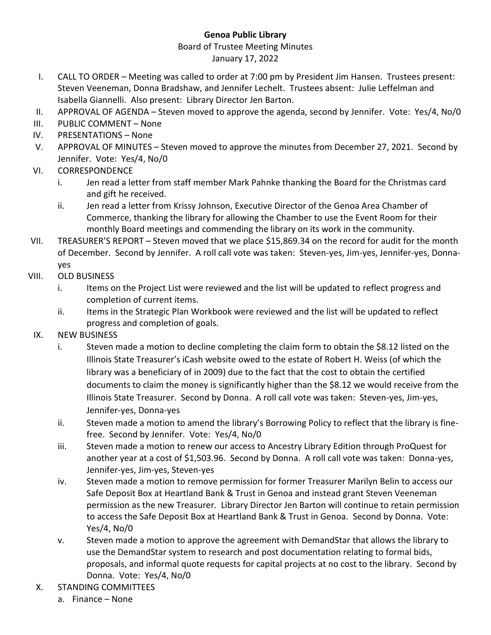## **Genoa Public Library**

## Board of Trustee Meeting Minutes January 17, 2022

- I. CALL TO ORDER Meeting was called to order at 7:00 pm by President Jim Hansen. Trustees present: Steven Veeneman, Donna Bradshaw, and Jennifer Lechelt. Trustees absent: Julie Leffelman and Isabella Giannelli. Also present: Library Director Jen Barton.
- II. APPROVAL OF AGENDA Steven moved to approve the agenda, second by Jennifer. Vote: Yes/4, No/0
- III. PUBLIC COMMENT None
- IV. PRESENTATIONS None
- V. APPROVAL OF MINUTES Steven moved to approve the minutes from December 27, 2021. Second by Jennifer. Vote: Yes/4, No/0
- VI. CORRESPONDENCE
	- i. Jen read a letter from staff member Mark Pahnke thanking the Board for the Christmas card and gift he received.
	- ii. Jen read a letter from Krissy Johnson, Executive Director of the Genoa Area Chamber of Commerce, thanking the library for allowing the Chamber to use the Event Room for their monthly Board meetings and commending the library on its work in the community.
- VII. TREASURER'S REPORT Steven moved that we place \$15,869.34 on the record for audit for the month of December. Second by Jennifer. A roll call vote was taken: Steven-yes, Jim-yes, Jennifer-yes, Donnayes
- VIII. OLD BUSINESS
	- i. Items on the Project List were reviewed and the list will be updated to reflect progress and completion of current items.
	- ii. Items in the Strategic Plan Workbook were reviewed and the list will be updated to reflect progress and completion of goals.
- IX. NEW BUSINESS
	- i. Steven made a motion to decline completing the claim form to obtain the \$8.12 listed on the Illinois State Treasurer's iCash website owed to the estate of Robert H. Weiss (of which the library was a beneficiary of in 2009) due to the fact that the cost to obtain the certified documents to claim the money is significantly higher than the \$8.12 we would receive from the Illinois State Treasurer. Second by Donna. A roll call vote was taken: Steven-yes, Jim-yes, Jennifer-yes, Donna-yes
	- ii. Steven made a motion to amend the library's Borrowing Policy to reflect that the library is finefree. Second by Jennifer. Vote: Yes/4, No/0
	- iii. Steven made a motion to renew our access to Ancestry Library Edition through ProQuest for another year at a cost of \$1,503.96. Second by Donna. A roll call vote was taken: Donna-yes, Jennifer-yes, Jim-yes, Steven-yes
	- iv. Steven made a motion to remove permission for former Treasurer Marilyn Belin to access our Safe Deposit Box at Heartland Bank & Trust in Genoa and instead grant Steven Veeneman permission as the new Treasurer. Library Director Jen Barton will continue to retain permission to access the Safe Deposit Box at Heartland Bank & Trust in Genoa. Second by Donna. Vote: Yes/4, No/0
	- v. Steven made a motion to approve the agreement with DemandStar that allows the library to use the DemandStar system to research and post documentation relating to formal bids, proposals, and informal quote requests for capital projects at no cost to the library. Second by Donna. Vote: Yes/4, No/0
- X. STANDING COMMITTEES
	- a. Finance None